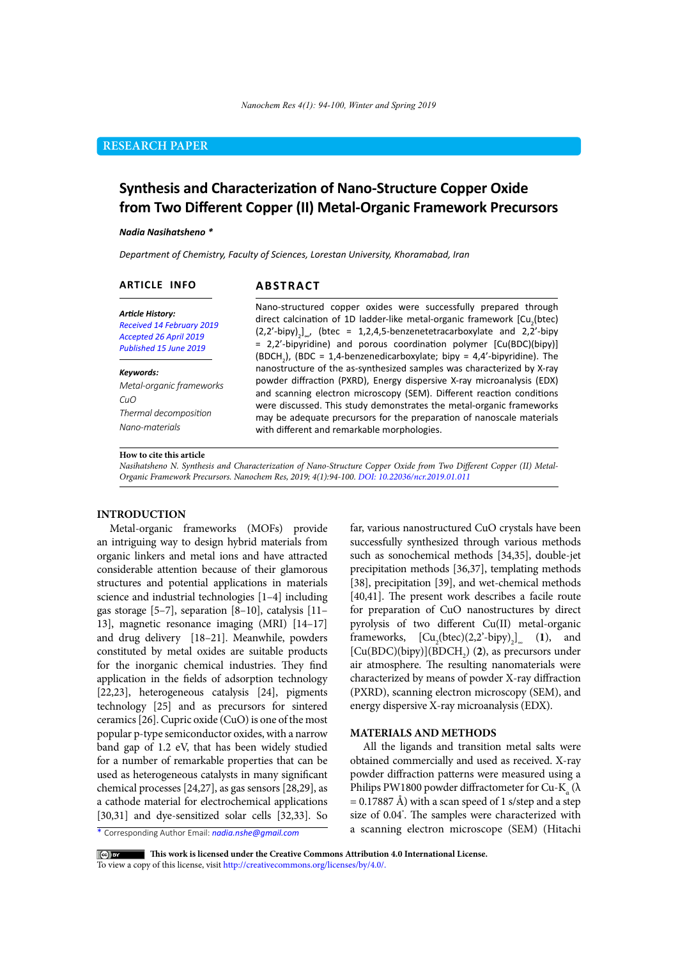# **RESEARCH PAPER**

# **Synthesis and Characterization of Nano-Structure Copper Oxide from Two Different Copper (II) Metal-Organic Framework Precursors**

#### *Nadia Nasihatsheno \**

*Department of Chemistry, Faculty of Sciences, Lorestan University, Khoramabad, Iran*

### **ARTICLE INFO**

## **ABSTRACT**

*Article History: Received 14 February 2019 Accepted 26 April 2019 Published 15 June 2019*

#### *Keywords:*

*Metal-organic frameworks CuO Thermal decomposition Nano-materials*

### Nano-structured copper oxides were successfully prepared through direct calcination of 1D ladder-like metal-organic framework  $\mathsf{[Cu}_{2}\mathsf{(btec)}$  $(2,2'-bipy)_{2}$ , (btec = 1,2,4,5-benzenetetracarboxylate and 2,2'-bipy  $= 2,2'-bipyridine)$  and porous coordination polymer  $[Cu(BDC)(bipy)]$ (BDCH<sub>2</sub>), (BDC = 1,4-benzenedicarboxylate; bipy = 4,4'-bipyridine). The nanostructure of the as-synthesized samples was characterized by X-ray powder diffraction (PXRD), Energy dispersive X-ray microanalysis (EDX) and scanning electron microscopy (SEM). Different reaction conditions were discussed. This study demonstrates the metal-organic frameworks may be adequate precursors for the preparation of nanoscale materials with different and remarkable morphologies.

### **How to cite this article**

*Nasihatsheno N. Synthesis and Characterization of Nano-Structure Copper Oxide from Two Different Copper (II) Metal-Organic Framework Precursors. Nanochem Res, 2019; 4(1):94-100. DOI: 10.22036/ncr.2019.01.011*

### **INTRODUCTION**

Metal-organic frameworks (MOFs) provide an intriguing way to design hybrid materials from organic linkers and metal ions and have attracted considerable attention because of their glamorous structures and potential applications in materials science and industrial technologies [1–4] including gas storage [5–7], separation [8–10], catalysis [11– 13], magnetic resonance imaging (MRI) [14–17] and drug delivery [18–21]. Meanwhile, powders constituted by metal oxides are suitable products for the inorganic chemical industries. They find application in the fields of adsorption technology [22,23], heterogeneous catalysis [24], pigments technology [25] and as precursors for sintered ceramics [26]. Cupric oxide (CuO) is one of the most popular p-type semiconductor oxides, with a narrow band gap of 1.2 eV, that has been widely studied for a number of remarkable properties that can be used as heterogeneous catalysts in many significant chemical processes [24,27], as gas sensors [28,29], as a cathode material for electrochemical applications [30,31] and dye-sensitized solar cells [32,33]. So

\* Corresponding Author Email: *nadia.nshe@gmail.com*

far, various nanostructured CuO crystals have been successfully synthesized through various methods such as sonochemical methods [34,35], double-jet precipitation methods [36,37], templating methods [38], precipitation [39], and wet-chemical methods [40,41]. The present work describes a facile route for preparation of CuO nanostructures by direct pyrolysis of two different Cu(II) metal-organic frameworks,  $[Cu_2(btec)(2,2'-bipy)]_{\infty}$  (1), and  $[Cu(BDC)(bipy)](BDCH<sub>2</sub>)$  (2), as precursors under air atmosphere. The resulting nanomaterials were characterized by means of powder X-ray diffraction (PXRD), scanning electron microscopy (SEM), and energy dispersive X-ray microanalysis (EDX).

### **MATERIALS AND METHODS**

All the ligands and transition metal salts were obtained commercially and used as received. X-ray powder diffraction patterns were measured using a Philips PW1800 powder diffractometer for Cu-K<sub>α</sub> ( $\lambda$  $= 0.17887$  Å) with a scan speed of 1 s/step and a step size of 0.04° . The samples were characterized with a scanning electron microscope (SEM) (Hitachi

 **This work is licensed under the Creative Commons Attribution 4.0 International License.** 

To view a copy of this license, visit [http://creativecommons.org/licenses/by/4.0/.](http://creativecommons.org/licenses/by/4.0/)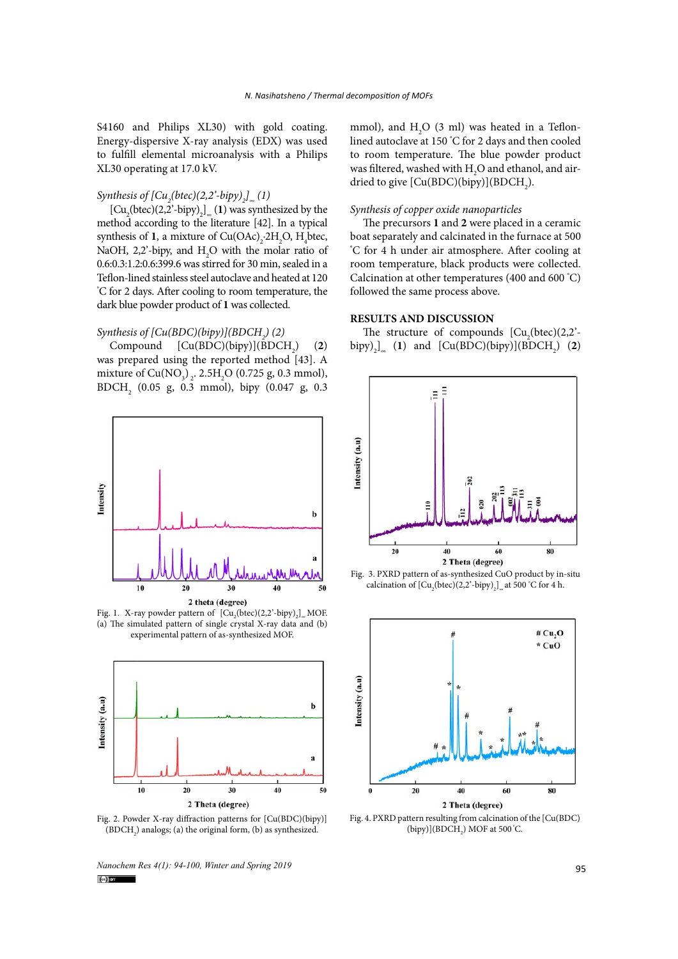S4160 and Philips XL30) with gold coating. Energy-dispersive X-ray analysis (EDX) was used to fulfill elemental microanalysis with a Philips XL30 operating at 17.0 kV.

# *Synthesis of [Cu<sub>2</sub>(btec)(2,2'-bipy)<sub>2</sub>]*<sub>∞</sub> (1)

 $\left[\text{Cu}_{2}\text{(btec)}(2,2^{2}-bipy)\right]_{\infty}$  (1) was synthesized by the method according to the literature [42]. In a typical synthesis of **1**, a mixture of  $Cu(OAc)_2 \cdot 2H_2O$ ,  $H_4$ btec, NaOH, 2,2'-bipy, and  $H_2O$  with the molar ratio of 0.6:0.3:1.2:0.6:399.6 was stirred for 30 min, sealed in a Teflon-lined stainless steel autoclave and heated at 120 ° C for 2 days. After cooling to room temperature, the dark blue powder product of **1** was collected.

# *Synthesis of [Cu(BDC)(bipy)](BDCH<sub>2</sub>) (2)*

Compound  $[Cu(BDC)(bipy)](\overline{B}DCH_2)$ ) (**2**) was prepared using the reported method [43]. A mixture of  $Cu(NO_3)_{2}$ . 2.5H<sub>2</sub>O (0.725 g, 0.3 mmol), BDCH2 (0.05 g, 0.3 mmol), bipy (0.047 g, 0.3



Fig. 1. X-ray powder pattern of  $[Cu_2(btec)(2,2'-bipy)]_{\infty}$  MOF. (a) The simulated pattern of single crystal X-ray data and (b) experimental pattern of as-synthesized MOF.



Fig. 2. Powder X-ray diffraction patterns for [Cu(BDC)(bipy)]  $(BDCH<sub>2</sub>)$  analogs; (a) the original form, (b) as synthesized.

*Nanochem Res 4(1): 94-100, Winter and Spring 2019*<br> **Colum** 

mmol), and  $H_2O$  (3 ml) was heated in a Teflonlined autoclave at 150 ° C for 2 days and then cooled to room temperature. The blue powder product was filtered, washed with  $H_2O$  and ethanol, and airdried to give  $[Cu(BDC)(bipy)](BDCH<sub>2</sub>)$ .

#### *Synthesis of copper oxide nanoparticles*

The precursors **1** and **2** were placed in a ceramic boat separately and calcinated in the furnace at 500 ° C for 4 h under air atmosphere. After cooling at room temperature, black products were collected. Calcination at other temperatures (400 and 600 ° C) followed the same process above.

### **RESULTS AND DISCUSSION**

The structure of compounds  $[Cu_2(btec)(2,2) \text{bipy}\text{)}_2$ <sup>1</sup> (1) and  $\text{[Cu(BDC)(bipy)](BDCH}_2)$  (2)







Fig. 4. PXRD pattern resulting from calcination of the [Cu(BDC)  $(bipy)](BDCH<sub>2</sub>) MOF at 500°C.$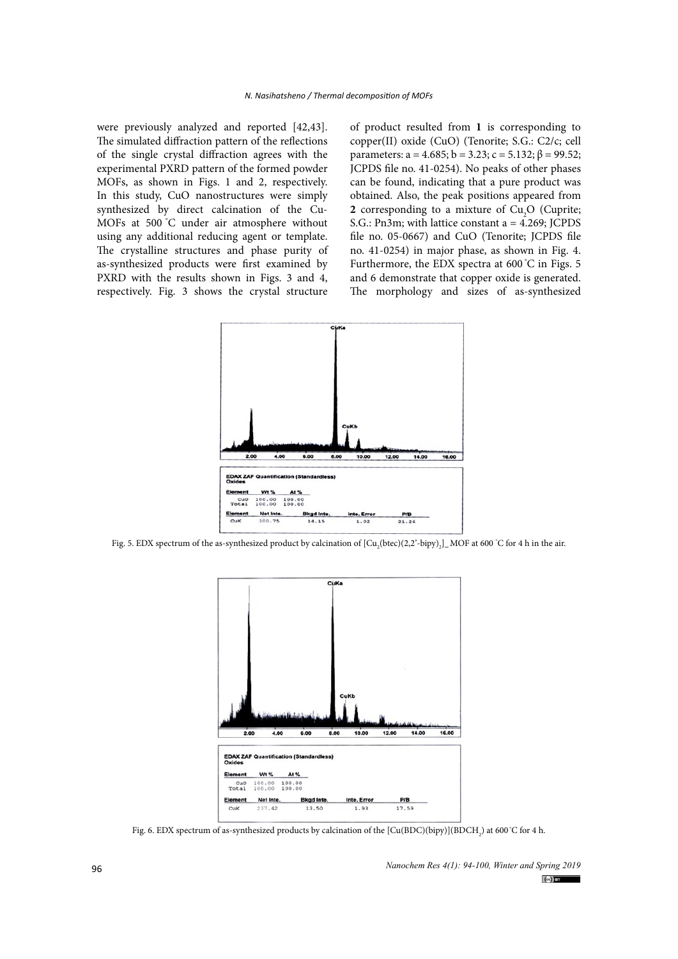were previously analyzed and reported [42,43]. The simulated diffraction pattern of the reflections of the single crystal diffraction agrees with the experimental PXRD pattern of the formed powder MOFs, as shown in Figs. 1 and 2, respectively. In this study, CuO nanostructures were simply synthesized by direct calcination of the Cu-MOFs at 500 °C under air atmosphere without using any additional reducing agent or template. The crystalline structures and phase purity of as-synthesized products were first examined by PXRD with the results shown in Figs. 3 and 4, respectively. Fig. 3 shows the crystal structure

of product resulted from **1** is corresponding to copper(II) oxide (CuO) (Tenorite; S.G.: C2/c; cell parameters: a = 4.685; b = 3.23; c = 5.132; β = 99.52; JCPDS file no. 41-0254). No peaks of other phases can be found, indicating that a pure product was obtained. Also, the peak positions appeared from **2** corresponding to a mixture of  $Cu<sub>2</sub>O$  (Cuprite; S.G.: Pn3m; with lattice constant a = 4.269; JCPDS file no. 05-0667) and CuO (Tenorite; JCPDS file no. 41-0254) in major phase, as shown in Fig. 4. Furthermore, the EDX spectra at 600 °C in Figs. 5 and 6 demonstrate that copper oxide is generated. The morphology and sizes of as-synthesized



Fig. 5. EDX spectrum of the as-synthesized product by calcination of [Cu<sub>2</sub>(btec)(2,2'-bipy)<sub>2</sub>] <sub>∞</sub>MOF at 600 °C for 4 h in the air.



Fig. 6. EDX spectrum of as-synthesized products by calcination of the  $\rm [Cu(BDC)(bipy)](BDCH_{_2})$  at 600 °C for 4 h.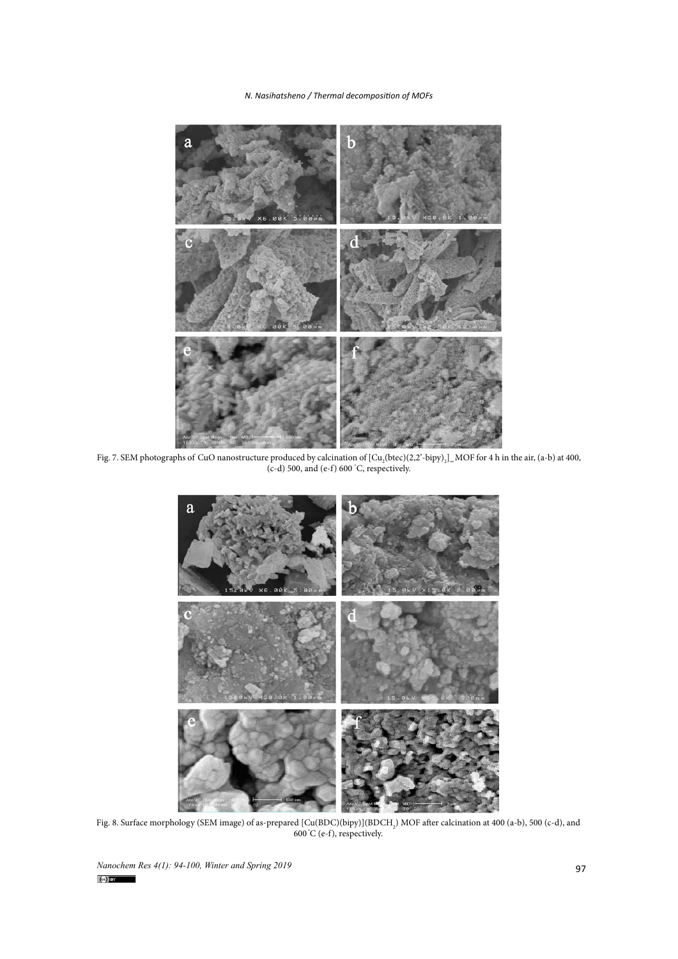### *N. Nasihatsheno / Thermal decomposition of MOFs*



Fig. 7. SEM photographs of CuO nanostructure produced by calcination of  $\left[\text{Cu}_2(\text{btec})(2,2\text{'-bipy})_2\right]_{\infty}$ MOF for 4 h in the air, (a-b) at 400, (c-d) 500, and (e-f) 600 °C, respectively.



Fig. 8. Surface morphology (SEM image) of as-prepared [Cu(BDC)(bipy)](BDCH<sub>2</sub>) MOF after calcination at 400 (a-b), 500 (c-d), and 600 °C (e-f), respectively.

*Nanochem Res 4(1): 94-100, Winter and Spring 2019*<br> **(c)**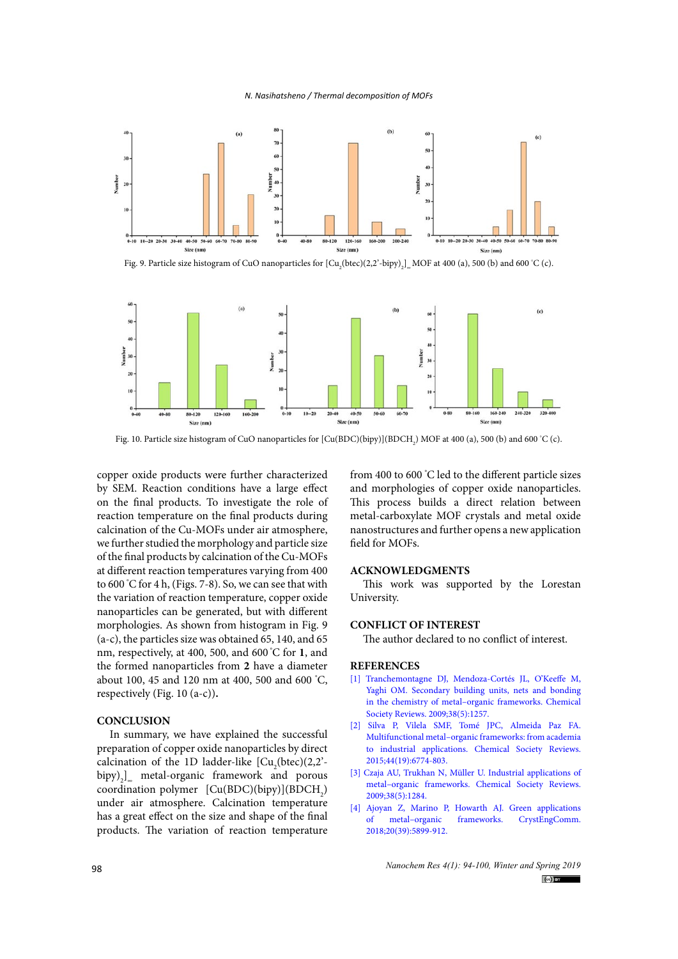#### *N. Nasihatsheno / Thermal decomposition of MOFs*



Fig. 9. Particle size histogram of CuO nanoparticles for  $\left[Cu_{2}(\text{btec})(2,2-\text{bipy})_{2}\right]_{\approx}$  MOF at 400 (a), 500 (b) and 600 °C (c).



Fig. 10. Particle size histogram of CuO nanoparticles for  $[Cu(BDC)(bipy)](BDCH<sub>2</sub>)$  MOF at 400 (a), 500 (b) and 600 °C (c).

copper oxide products were further characterized by SEM. Reaction conditions have a large effect on the final products. To investigate the role of reaction temperature on the final products during calcination of the Cu-MOFs under air atmosphere, we further studied the morphology and particle size of the final products by calcination of the Cu-MOFs at different reaction temperatures varying from 400 to 600 ° C for 4 h, (Figs. 7-8). So, we can see that with the variation of reaction temperature, copper oxide nanoparticles can be generated, but with different morphologies. As shown from histogram in Fig. 9 (a-c), the particles size was obtained 65, 140, and 65 nm, respectively, at 400, 500, and 600 °C for **1**, and the formed nanoparticles from **2** have a diameter about 100, 45 and 120 nm at 400, 500 and 600 ° C, respectively (Fig. 10 (a-c))**.**

### **CONCLUSION**

In summary, we have explained the successful preparation of copper oxide nanoparticles by direct calcination of the 1D ladder-like  $[Cu_2(btec)(2,2)$  $bipy)$ <sub>2</sub>]<sub>∞</sub> metal-organic framework and porous coordination polymer  $[Cu(BDC)(bipy)](BDCH<sub>2</sub>)$ under air atmosphere. Calcination temperature has a great effect on the size and shape of the final products. The variation of reaction temperature

from 400 to 600 ° C led to the different particle sizes and morphologies of copper oxide nanoparticles. This process builds a direct relation between metal-carboxylate MOF crystals and metal oxide nanostructures and further opens a new application field for MOFs.

### **ACKNOWLEDGMENTS**

This work was supported by the Lorestan University.

### **CONFLICT OF INTEREST**

The author declared to no conflict of interest.

### **REFERENCES**

- [1] [Tranchemontagne DJ, Mendoza-Cortés JL, O'Keeffe M,](http://dx.doi.org/10.1039/b817735j) [Yaghi OM. Secondary building units, nets and bonding](http://dx.doi.org/10.1039/b817735j) [in the chemistry of metal–organic frameworks. Chemical](http://dx.doi.org/10.1039/b817735j) [Society Reviews. 2009;38\(5\):1257.](http://dx.doi.org/10.1039/b817735j)
- [2] [Silva P, Vilela SMF, Tomé JPC, Almeida Paz FA.](http://dx.doi.org/10.1039/c5cs00307e) [Multifunctional metal–organic frameworks: from academia](http://dx.doi.org/10.1039/c5cs00307e) [to industrial applications. Chemical Society Reviews.](http://dx.doi.org/10.1039/c5cs00307e) [2015;44\(19\):6774-803.](http://dx.doi.org/10.1039/c5cs00307e)
- [3] [Czaja AU, Trukhan N, Müller U. Industrial applications of](http://dx.doi.org/10.1039/b804680h) [metal–organic frameworks. Chemical Society Reviews.](http://dx.doi.org/10.1039/b804680h) [2009;38\(5\):1284.](http://dx.doi.org/10.1039/b804680h)
- [4] [Ajoyan Z, Marino P, Howarth AJ. Green applications](http://dx.doi.org/10.1039/c8ce01002a) [of metal–organic frameworks. CrystEngComm.](http://dx.doi.org/10.1039/c8ce01002a) [2018;20\(39\):5899-912.](http://dx.doi.org/10.1039/c8ce01002a)

*Nanochem Res 4(1): 94-100, Winter and Spring 2019*  $(cc)$  BY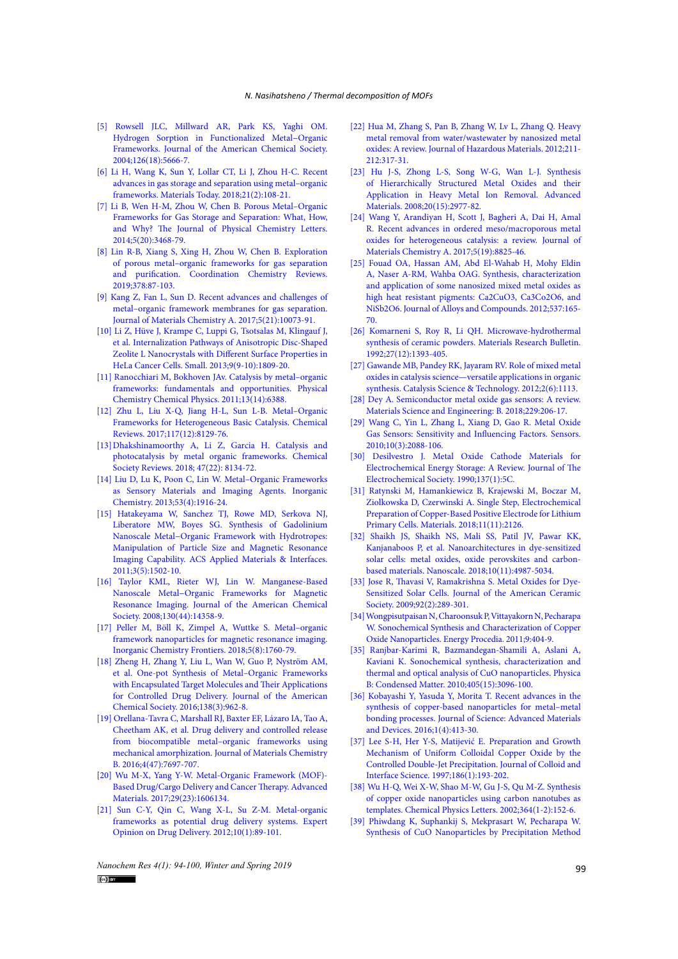- [5] [Rowsell JLC, Millward AR, Park KS, Yaghi OM.](http://dx.doi.org/10.1021/ja049408c)  [Hydrogen Sorption in Functionalized Metal−Organic](http://dx.doi.org/10.1021/ja049408c)  [Frameworks. Journal of the American Chemical Society.](http://dx.doi.org/10.1021/ja049408c)  [2004;126\(18\):5666-7.](http://dx.doi.org/10.1021/ja049408c)
- [6] [Li H, Wang K, Sun Y, Lollar CT, Li J, Zhou H-C. Recent](http://dx.doi.org/10.1016/j.mattod.2017.07.006)  [advances in gas storage and separation using metal–organic](http://dx.doi.org/10.1016/j.mattod.2017.07.006)  [frameworks. Materials Today. 2018;21\(2\):108-21.](http://dx.doi.org/10.1016/j.mattod.2017.07.006)
- [7] [Li B, Wen H-M, Zhou W, Chen B. Porous Metal–Organic](http://dx.doi.org/10.1021/jz501586e)  [Frameworks for Gas Storage and Separation: What, How,](http://dx.doi.org/10.1021/jz501586e)  [and Why? The Journal of Physical Chemistry Letters.](http://dx.doi.org/10.1021/jz501586e)  [2014;5\(20\):3468-79.](http://dx.doi.org/10.1021/jz501586e)
- [8] [Lin R-B, Xiang S, Xing H, Zhou W, Chen B. Exploration](http://dx.doi.org/10.1016/j.ccr.2017.09.027)  [of porous metal–organic frameworks for gas separation](http://dx.doi.org/10.1016/j.ccr.2017.09.027)  [and purification. Coordination Chemistry Reviews.](http://dx.doi.org/10.1016/j.ccr.2017.09.027)  [2019;378:87-103.](http://dx.doi.org/10.1016/j.ccr.2017.09.027)
- [9] [Kang Z, Fan L, Sun D. Recent advances and challenges of](http://dx.doi.org/10.1039/c7ta01142c)  [metal–organic framework membranes for gas separation.](http://dx.doi.org/10.1039/c7ta01142c)  [Journal of Materials Chemistry A. 2017;5\(21\):10073-91.](http://dx.doi.org/10.1039/c7ta01142c)
- [10] [Li Z, Hüve J, Krampe C, Luppi G, Tsotsalas M, Klingauf J,](http://dx.doi.org/10.1002/smll.201201702)  [et al. Internalization Pathways of Anisotropic Disc-Shaped](http://dx.doi.org/10.1002/smll.201201702)  [Zeolite L Nanocrystals with Different Surface Properties in](http://dx.doi.org/10.1002/smll.201201702)  [HeLa Cancer Cells. Small. 2013;9\(9-10\):1809-20.](http://dx.doi.org/10.1002/smll.201201702)
- [11] Ranocchiari M, Bokhoven JAv. Catalysis by metal-organic [frameworks: fundamentals and opportunities. Physical](http://dx.doi.org/10.1039/c0cp02394a)  [Chemistry Chemical Physics. 2011;13\(14\):6388.](http://dx.doi.org/10.1039/c0cp02394a)
- [12] [Zhu L, Liu X-Q, Jiang H-L, Sun L-B. Metal–Organic](http://dx.doi.org/10.1021/acs.chemrev.7b00091)  [Frameworks for Heterogeneous Basic Catalysis. Chemical](http://dx.doi.org/10.1021/acs.chemrev.7b00091)  [Reviews. 2017;117\(12\):8129-76.](http://dx.doi.org/10.1021/acs.chemrev.7b00091)
- [13]Dhakshinamoorthy A, Li Z, Garcia H. Catalysis and photocatalysis by metal organic frameworks. Chemical Society Reviews. 2018; 47(22): 8134-72.
- [14] [Liu D, Lu K, Poon C, Lin W. Metal–Organic Frameworks](http://dx.doi.org/10.1021/ic402194c)  [as Sensory Materials and Imaging Agents. Inorganic](http://dx.doi.org/10.1021/ic402194c)  [Chemistry. 2013;53\(4\):1916-24.](http://dx.doi.org/10.1021/ic402194c)
- [15] [Hatakeyama W, Sanchez TJ, Rowe MD, Serkova NJ,](http://dx.doi.org/10.1021/am200075q)  [Liberatore MW, Boyes SG. Synthesis of Gadolinium](http://dx.doi.org/10.1021/am200075q)  [Nanoscale Metal−Organic Framework with Hydrotropes:](http://dx.doi.org/10.1021/am200075q)  [Manipulation of Particle Size and Magnetic Resonance](http://dx.doi.org/10.1021/am200075q)  [Imaging Capability. ACS Applied Materials & Interfaces.](http://dx.doi.org/10.1021/am200075q)  [2011;3\(5\):1502-10.](http://dx.doi.org/10.1021/am200075q)
- [16] Taylor KML, Rieter WJ, Lin W. Manganese-Based [Nanoscale Metal−Organic Frameworks for Magnetic](http://dx.doi.org/10.1021/ja803777x)  [Resonance Imaging. Journal of the American Chemical](http://dx.doi.org/10.1021/ja803777x)  [Society. 2008;130\(44\):14358-9.](http://dx.doi.org/10.1021/ja803777x)
- [17] [Peller M, Böll K, Zimpel A, Wuttke S. Metal–organic](http://dx.doi.org/10.1039/c8qi00149a)  [framework nanoparticles for magnetic resonance imaging.](http://dx.doi.org/10.1039/c8qi00149a)  [Inorganic Chemistry Frontiers. 2018;5\(8\):1760-79.](http://dx.doi.org/10.1039/c8qi00149a)
- [18] [Zheng H, Zhang Y, Liu L, Wan W, Guo P, Nyström AM,](http://dx.doi.org/10.1021/jacs.5b11720)  [et al. One-pot Synthesis of Metal–Organic Frameworks](http://dx.doi.org/10.1021/jacs.5b11720)  [with Encapsulated Target Molecules and Their Applications](http://dx.doi.org/10.1021/jacs.5b11720)  [for Controlled Drug Delivery. Journal of the American](http://dx.doi.org/10.1021/jacs.5b11720)  [Chemical Society. 2016;138\(3\):962-8.](http://dx.doi.org/10.1021/jacs.5b11720)
- [19] [Orellana-Tavra C, Marshall RJ, Baxter EF, Lázaro IA, Tao A,](http://dx.doi.org/10.1039/c6tb02025a)  [Cheetham AK, et al. Drug delivery and controlled release](http://dx.doi.org/10.1039/c6tb02025a)  [from biocompatible metal–organic frameworks using](http://dx.doi.org/10.1039/c6tb02025a)  [mechanical amorphization. Journal of Materials Chemistry](http://dx.doi.org/10.1039/c6tb02025a)  [B. 2016;4\(47\):7697-707.](http://dx.doi.org/10.1039/c6tb02025a)
- [20] [Wu M-X, Yang Y-W. Metal-Organic Framework \(MOF\)-](http://dx.doi.org/10.1002/adma.201606134) [Based Drug/Cargo Delivery and Cancer Therapy. Advanced](http://dx.doi.org/10.1002/adma.201606134)  [Materials. 2017;29\(23\):1606134.](http://dx.doi.org/10.1002/adma.201606134)
- [21] [Sun C-Y, Qin C, Wang X-L, Su Z-M. Metal-organic](http://dx.doi.org/10.1517/17425247.2013.741583)  [frameworks as potential drug delivery systems. Expert](http://dx.doi.org/10.1517/17425247.2013.741583)  [Opinion on Drug Delivery. 2012;10\(1\):89-101.](http://dx.doi.org/10.1517/17425247.2013.741583)
- [22] [Hua M, Zhang S, Pan B, Zhang W, Lv L, Zhang Q. Heavy](http://dx.doi.org/10.1016/j.jhazmat.2011.10.016) [metal removal from water/wastewater by nanosized metal](http://dx.doi.org/10.1016/j.jhazmat.2011.10.016) [oxides: A review. Journal of Hazardous Materials. 2012;211-](http://dx.doi.org/10.1016/j.jhazmat.2011.10.016) [212:317-31.](http://dx.doi.org/10.1016/j.jhazmat.2011.10.016)
- [23] [Hu J-S, Zhong L-S, Song W-G, Wan L-J. Synthesis](http://dx.doi.org/10.1002/adma.200800623) [of Hierarchically Structured Metal Oxides and their](http://dx.doi.org/10.1002/adma.200800623) [Application in Heavy Metal Ion Removal. Advanced](http://dx.doi.org/10.1002/adma.200800623) [Materials. 2008;20\(15\):2977-82.](http://dx.doi.org/10.1002/adma.200800623)
- [24] [Wang Y, Arandiyan H, Scott J, Bagheri A, Dai H, Amal](http://dx.doi.org/10.1039/c6ta10896b) [R. Recent advances in ordered meso/macroporous metal](http://dx.doi.org/10.1039/c6ta10896b) [oxides for heterogeneous catalysis: a review. Journal of](http://dx.doi.org/10.1039/c6ta10896b) [Materials Chemistry A. 2017;5\(19\):8825-46.](http://dx.doi.org/10.1039/c6ta10896b)
- [25] [Fouad OA, Hassan AM, Abd El-Wahab H, Mohy Eldin](http://dx.doi.org/10.1016/j.jallcom.2012.05.078) [A, Naser A-RM, Wahba OAG. Synthesis, characterization](http://dx.doi.org/10.1016/j.jallcom.2012.05.078) [and application of some nanosized mixed metal oxides as](http://dx.doi.org/10.1016/j.jallcom.2012.05.078) [high heat resistant pigments: Ca2CuO3, Ca3Co2O6, and](http://dx.doi.org/10.1016/j.jallcom.2012.05.078) [NiSb2O6. Journal of Alloys and Compounds. 2012;537:165-](http://dx.doi.org/10.1016/j.jallcom.2012.05.078) [70.](http://dx.doi.org/10.1016/j.jallcom.2012.05.078)
- [26] [Komarneni S, Roy R, Li QH. Microwave-hydrothermal](http://dx.doi.org/10.1016/0025-5408(92)90004-j) [synthesis of ceramic powders. Materials Research Bulletin.](http://dx.doi.org/10.1016/0025-5408(92)90004-j) [1992;27\(12\):1393-405.](http://dx.doi.org/10.1016/0025-5408(92)90004-j)
- [27] [Gawande MB, Pandey RK, Jayaram RV. Role of mixed metal](http://dx.doi.org/10.1039/c2cy00490a) [oxides in catalysis science—versatile applications in organic](http://dx.doi.org/10.1039/c2cy00490a) [synthesis. Catalysis Science & Technology. 2012;2\(6\):1113.](http://dx.doi.org/10.1039/c2cy00490a)
- [28] [Dey A. Semiconductor metal oxide gas sensors: A review.](http://dx.doi.org/10.1016/j.mseb.2017.12.036) [Materials Science and Engineering: B. 2018;229:206-17.](http://dx.doi.org/10.1016/j.mseb.2017.12.036)
- [29] [Wang C, Yin L, Zhang L, Xiang D, Gao R. Metal Oxide](http://dx.doi.org/10.3390/s100302088) [Gas Sensors: Sensitivity and Influencing Factors. Sensors.](http://dx.doi.org/10.3390/s100302088) [2010;10\(3\):2088-106.](http://dx.doi.org/10.3390/s100302088)
- [30] [Desilvestro J. Metal Oxide Cathode Materials for](http://dx.doi.org/10.1149/1.2086438) [Electrochemical Energy Storage: A Review. Journal of The](http://dx.doi.org/10.1149/1.2086438) [Electrochemical Society. 1990;137\(1\):5C.](http://dx.doi.org/10.1149/1.2086438)
- [31] [Ratynski M, Hamankiewicz B, Krajewski M, Boczar M,](http://dx.doi.org/10.3390/ma11112126) [Ziolkowska D, Czerwinski A. Single Step, Electrochemical](http://dx.doi.org/10.3390/ma11112126) [Preparation of Copper-Based Positive Electrode for Lithium](http://dx.doi.org/10.3390/ma11112126) [Primary Cells. Materials. 2018;11\(11\):2126.](http://dx.doi.org/10.3390/ma11112126)
- [32] [Shaikh JS, Shaikh NS, Mali SS, Patil JV, Pawar KK,](http://dx.doi.org/10.1039/c7nr08350e) [Kanjanaboos P, et al. Nanoarchitectures in dye-sensitized](http://dx.doi.org/10.1039/c7nr08350e) [solar cells: metal oxides, oxide perovskites and carbon](http://dx.doi.org/10.1039/c7nr08350e)[based materials. Nanoscale. 2018;10\(11\):4987-5034.](http://dx.doi.org/10.1039/c7nr08350e)
- [33] [Jose R, Thavasi V, Ramakrishna S. Metal Oxides for Dye-](http://dx.doi.org/10.1111/j.1551-2916.2008.02870.x)[Sensitized Solar Cells. Journal of the American Ceramic](http://dx.doi.org/10.1111/j.1551-2916.2008.02870.x) [Society. 2009;92\(2\):289-301.](http://dx.doi.org/10.1111/j.1551-2916.2008.02870.x)
- [34] [Wongpisutpaisan N, Charoonsuk P, Vittayakorn N, Pecharapa](http://dx.doi.org/10.1016/j.egypro.2011.09.044) [W. Sonochemical Synthesis and Characterization of Copper](http://dx.doi.org/10.1016/j.egypro.2011.09.044) [Oxide Nanoparticles. Energy Procedia. 2011;9:404-9.](http://dx.doi.org/10.1016/j.egypro.2011.09.044)
- [35] [Ranjbar-Karimi R, Bazmandegan-Shamili A, Aslani A,](http://dx.doi.org/10.1016/j.physb.2010.04.021) [Kaviani K. Sonochemical synthesis, characterization and](http://dx.doi.org/10.1016/j.physb.2010.04.021) [thermal and optical analysis of CuO nanoparticles. Physica](http://dx.doi.org/10.1016/j.physb.2010.04.021) [B: Condensed Matter. 2010;405\(15\):3096-100.](http://dx.doi.org/10.1016/j.physb.2010.04.021)
- [36] [Kobayashi Y, Yasuda Y, Morita T. Recent advances in the](http://dx.doi.org/10.1016/j.jsamd.2016.11.002) [synthesis of copper-based nanoparticles for metal–metal](http://dx.doi.org/10.1016/j.jsamd.2016.11.002) [bonding processes. Journal of Science: Advanced Materials](http://dx.doi.org/10.1016/j.jsamd.2016.11.002) [and Devices. 2016;1\(4\):413-30.](http://dx.doi.org/10.1016/j.jsamd.2016.11.002)
- [37] [Lee S-H, Her Y-S, Matijević E. Preparation and Growth](http://dx.doi.org/10.1006/jcis.1996.4638) [Mechanism of Uniform Colloidal Copper Oxide by the](http://dx.doi.org/10.1006/jcis.1996.4638) [Controlled Double-Jet Precipitation. Journal of Colloid and](http://dx.doi.org/10.1006/jcis.1996.4638) [Interface Science. 1997;186\(1\):193-202.](http://dx.doi.org/10.1006/jcis.1996.4638)
- [38] [Wu H-Q, Wei X-W, Shao M-W, Gu J-S, Qu M-Z. Synthesis](http://dx.doi.org/10.1016/s0009-2614(02)01301-5) [of copper oxide nanoparticles using carbon nanotubes as](http://dx.doi.org/10.1016/s0009-2614(02)01301-5) [templates. Chemical Physics Letters. 2002;364\(1-2\):152-6.](http://dx.doi.org/10.1016/s0009-2614(02)01301-5)
- [39] [Phiwdang K, Suphankij S, Mekprasart W, Pecharapa W.](http://dx.doi.org/10.1016/j.egypro.2013.06.808) [Synthesis of CuO Nanoparticles by Precipitation Method](http://dx.doi.org/10.1016/j.egypro.2013.06.808)

*Nanochem Res 4(1): 94-100, Winter and Spring 2019*<br> **Colum**